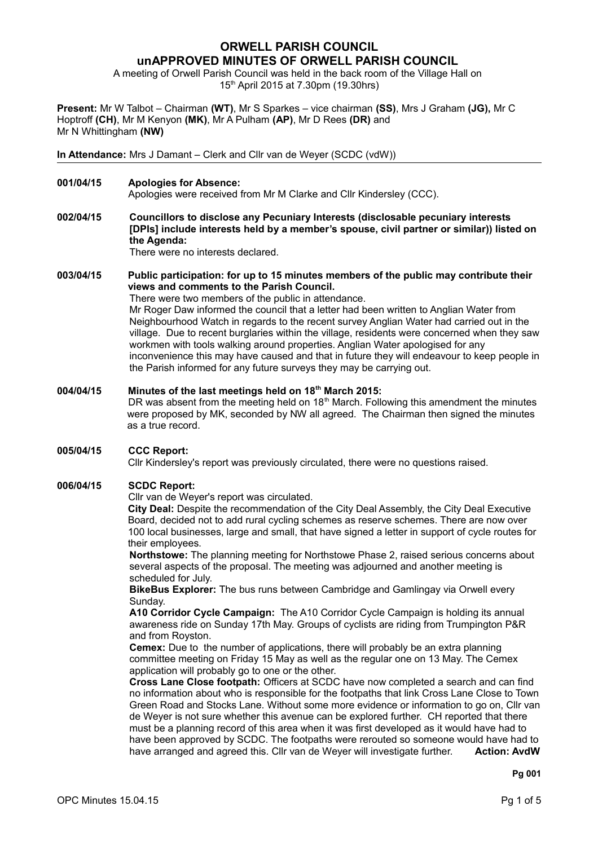# **ORWELL PARISH COUNCIL unAPPROVED MINUTES OF ORWELL PARISH COUNCIL**

A meeting of Orwell Parish Council was held in the back room of the Village Hall on 15th April 2015 at 7.30pm (19.30hrs)

**Present:** Mr W Talbot – Chairman **(WT)**, Mr S Sparkes – vice chairman **(SS)**, Mrs J Graham **(JG),** Mr C Hoptroff **(CH)**, Mr M Kenyon **(MK)**, Mr A Pulham **(AP)**, Mr D Rees **(DR)** and Mr N Whittingham **(NW)**

**In Attendance:** Mrs J Damant – Clerk and Cllr van de Weyer (SCDC (vdW))

**001/04/15 Apologies for Absence:**

Apologies were received from Mr M Clarke and Cllr Kindersley (CCC).

**002/04/15 Councillors to disclose any Pecuniary Interests (disclosable pecuniary interests [DPIs] include interests held by a member's spouse, civil partner or similar)) listed on the Agenda:**

There were no interests declared.

#### **003/04/15 Public participation: for up to 15 minutes members of the public may contribute their views and comments to the Parish Council.**

There were two members of the public in attendance. Mr Roger Daw informed the council that a letter had been written to Anglian Water from Neighbourhood Watch in regards to the recent survey Anglian Water had carried out in the village. Due to recent burglaries within the village, residents were concerned when they saw workmen with tools walking around properties. Anglian Water apologised for any inconvenience this may have caused and that in future they will endeavour to keep people in the Parish informed for any future surveys they may be carrying out.

# **004/04/15 Minutes of the last meetings held on 18th March 2015:** DR was absent from the meeting held on  $18<sup>th</sup>$  March. Following this amendment the minutes were proposed by MK, seconded by NW all agreed. The Chairman then signed the minutes as a true record.

**005/04/15 CCC Report:**

Cllr Kindersley's report was previously circulated, there were no questions raised.

#### **006/04/15 SCDC Report:**

Cllr van de Weyer's report was circulated.

**City Deal:** Despite the recommendation of the City Deal Assembly, the City Deal Executive Board, decided not to add rural cycling schemes as reserve schemes. There are now over 100 local businesses, large and small, that have signed a letter in support of cycle routes for their employees.

**Northstowe:** The planning meeting for Northstowe Phase 2, raised serious concerns about several aspects of the proposal. The meeting was adjourned and another meeting is scheduled for July.

**BikeBus Explorer:** The bus runs between Cambridge and Gamlingay via Orwell every Sunday.

**A10 Corridor Cycle Campaign:** The A10 Corridor Cycle Campaign is holding its annual awareness ride on Sunday 17th May. Groups of cyclists are riding from Trumpington P&R and from Royston.

**Cemex:** Due to the number of applications, there will probably be an extra planning committee meeting on Friday 15 May as well as the regular one on 13 May. The Cemex application will probably go to one or the other.

**Cross Lane Close footpath:** Officers at SCDC have now completed a search and can find no information about who is responsible for the footpaths that link Cross Lane Close to Town Green Road and Stocks Lane. Without some more evidence or information to go on, Cllr van de Weyer is not sure whether this avenue can be explored further. CH reported that there must be a planning record of this area when it was first developed as it would have had to have been approved by SCDC. The footpaths were rerouted so someone would have had to have arranged and agreed this. Cllr van de Weyer will investigate further. **Action: AvdW**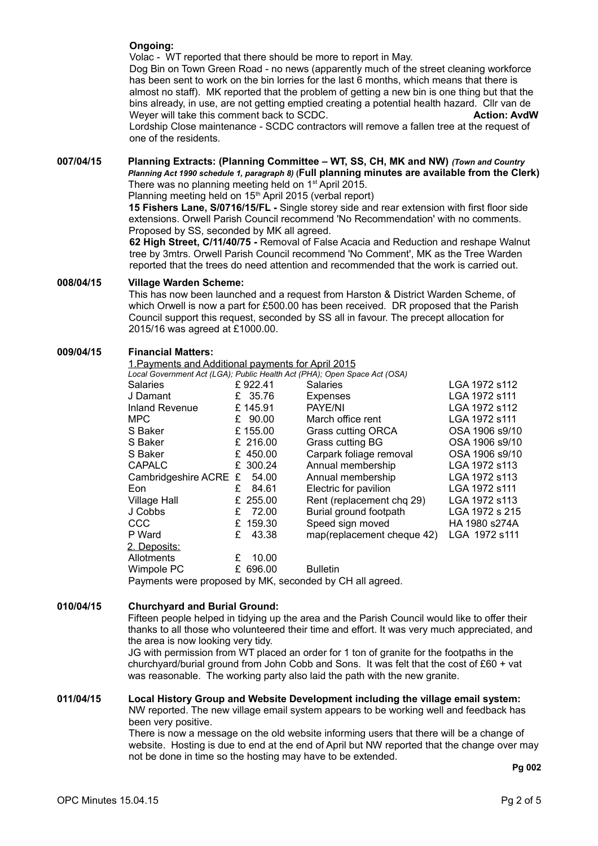# **Ongoing:**

Volac - WT reported that there should be more to report in May. Dog Bin on Town Green Road - no news (apparently much of the street cleaning workforce has been sent to work on the bin lorries for the last 6 months, which means that there is almost no staff). MK reported that the problem of getting a new bin is one thing but that the bins already, in use, are not getting emptied creating a potential health hazard. Cllr van de Weyer will take this comment back to SCDC. **Action: AvdW Action: AvdW** Lordship Close maintenance - SCDC contractors will remove a fallen tree at the request of one of the residents.

# **007/04/15 Planning Extracts: (Planning Committee – WT, SS, CH, MK and NW)** *(Town and Country Planning Act 1990 schedule 1, paragraph 8)* **(Full planning minutes are available from the Clerk)** There was no planning meeting held on 1<sup>st</sup> April 2015.

Planning meeting held on 15<sup>th</sup> April 2015 (verbal report)

**15 Fishers Lane, S/0716/15/FL -** Single storey side and rear extension with first floor side extensions. Orwell Parish Council recommend 'No Recommendation' with no comments. Proposed by SS, seconded by MK all agreed.

**62 High Street, C/11/40/75 -** Removal of False Acacia and Reduction and reshape Walnut tree by 3mtrs. Orwell Parish Council recommend 'No Comment', MK as the Tree Warden reported that the trees do need attention and recommended that the work is carried out.

# **008/04/15 Village Warden Scheme:**

This has now been launched and a request from Harston & District Warden Scheme, of which Orwell is now a part for £500.00 has been received. DR proposed that the Parish Council support this request, seconded by SS all in favour. The precept allocation for 2015/16 was agreed at £1000.00.

# **009/04/15 Financial Matters:**

#### 1.Payments and Additional payments for April 2015

*Local Government Act (LGA); Public Health Act (PHA); Open Space Act (OSA)*

|                       |   |           | $\frac{1}{2}$ $\frac{1}{2}$ $\frac{1}{2}$ $\frac{1}{2}$ $\frac{1}{2}$ $\frac{1}{2}$ $\frac{1}{2}$ $\frac{1}{2}$ $\frac{1}{2}$ $\frac{1}{2}$ $\frac{1}{2}$ $\frac{1}{2}$ $\frac{1}{2}$ $\frac{1}{2}$ $\frac{1}{2}$ $\frac{1}{2}$ $\frac{1}{2}$ $\frac{1}{2}$ $\frac{1}{2}$ $\frac{1}{2}$ $\frac{1}{2}$ $\frac{1}{2}$ |                |
|-----------------------|---|-----------|---------------------------------------------------------------------------------------------------------------------------------------------------------------------------------------------------------------------------------------------------------------------------------------------------------------------|----------------|
| <b>Salaries</b>       |   | £922.41   | <b>Salaries</b>                                                                                                                                                                                                                                                                                                     | LGA 1972 s112  |
| J Damant              |   | £ 35.76   | <b>Expenses</b>                                                                                                                                                                                                                                                                                                     | LGA 1972 s111  |
| <b>Inland Revenue</b> |   | £145.91   | PAYE/NI                                                                                                                                                                                                                                                                                                             | LGA 1972 s112  |
| <b>MPC</b>            |   | £ $90.00$ | March office rent                                                                                                                                                                                                                                                                                                   | LGA 1972 s111  |
| S Baker               |   | £155.00   | Grass cutting ORCA                                                                                                                                                                                                                                                                                                  | OSA 1906 s9/10 |
| S Baker               |   | £ 216.00  | Grass cutting BG                                                                                                                                                                                                                                                                                                    | OSA 1906 s9/10 |
| S Baker               |   | £ 450.00  | Carpark foliage removal                                                                                                                                                                                                                                                                                             | OSA 1906 s9/10 |
| <b>CAPALC</b>         |   | £ 300.24  | Annual membership                                                                                                                                                                                                                                                                                                   | LGA 1972 s113  |
| Cambridgeshire ACRE £ |   | 54.00     | Annual membership                                                                                                                                                                                                                                                                                                   | LGA 1972 s113  |
| Eon                   | £ | 84.61     | Electric for pavilion                                                                                                                                                                                                                                                                                               | LGA 1972 s111  |
| <b>Village Hall</b>   |   | £ 255.00  | Rent (replacement chq 29)                                                                                                                                                                                                                                                                                           | LGA 1972 s113  |
| J Cobbs               | £ | 72.00     | Burial ground footpath                                                                                                                                                                                                                                                                                              | LGA 1972 s 215 |
| <b>CCC</b>            |   | £ 159.30  | Speed sign moved                                                                                                                                                                                                                                                                                                    | HA 1980 s274A  |
| P Ward                | £ | 43.38     | map(replacement cheque 42)                                                                                                                                                                                                                                                                                          | LGA 1972 s111  |
| 2. Deposits:          |   |           |                                                                                                                                                                                                                                                                                                                     |                |
| Allotments            | £ | 10.00     |                                                                                                                                                                                                                                                                                                                     |                |
| Wimpole PC            | £ | 696.00    | <b>Bulletin</b>                                                                                                                                                                                                                                                                                                     |                |

Payments were proposed by MK, seconded by CH all agreed.

# **010/04/15 Churchyard and Burial Ground:**

Fifteen people helped in tidying up the area and the Parish Council would like to offer their thanks to all those who volunteered their time and effort. It was very much appreciated, and the area is now looking very tidy.

JG with permission from WT placed an order for 1 ton of granite for the footpaths in the churchyard/burial ground from John Cobb and Sons. It was felt that the cost of £60 + vat was reasonable. The working party also laid the path with the new granite.

#### **011/04/15 Local History Group and Website Development including the village email system:** NW reported. The new village email system appears to be working well and feedback has been very positive.

There is now a message on the old website informing users that there will be a change of website. Hosting is due to end at the end of April but NW reported that the change over may not be done in time so the hosting may have to be extended.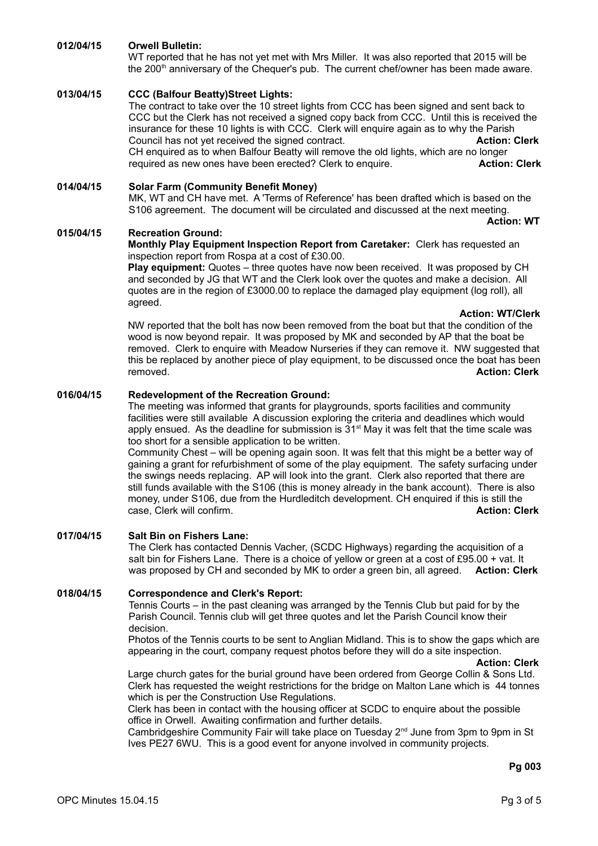# **012/04/15 Orwell Bulletin:**

WT reported that he has not yet met with Mrs Miller. It was also reported that 2015 will be the 200<sup>th</sup> anniversary of the Chequer's pub. The current chef/owner has been made aware.

# **013/04/15 CCC (Balfour Beatty)Street Lights:**

The contract to take over the 10 street lights from CCC has been signed and sent back to CCC but the Clerk has not received a signed copy back from CCC. Until this is received the insurance for these 10 lights is with CCC. Clerk will enquire again as to why the Parish Council has not yet received the signed contract. **Action: Clerk** CH enquired as to when Balfour Beatty will remove the old lights, which are no longer required as new ones have been erected? Clerk to enquire. **Action: Clerk**

**014/04/15 Solar Farm (Community Benefit Money)** MK, WT and CH have met. A 'Terms of Reference' has been drafted which is based on the S106 agreement. The document will be circulated and discussed at the next meeting. **Action: WT**

#### **015/04/15 Recreation Ground:**

#### **Monthly Play Equipment Inspection Report from Caretaker:** Clerk has requested an inspection report from Rospa at a cost of £30.00.

**Play equipment:** Quotes – three quotes have now been received. It was proposed by CH and seconded by JG that WT and the Clerk look over the quotes and make a decision. All quotes are in the region of £3000.00 to replace the damaged play equipment (log roll), all agreed.

**Action: WT/Clerk**

NW reported that the bolt has now been removed from the boat but that the condition of the wood is now beyond repair. It was proposed by MK and seconded by AP that the boat be removed. Clerk to enquire with Meadow Nurseries if they can remove it. NW suggested that this be replaced by another piece of play equipment, to be discussed once the boat has been removed. **Action: Clerk**

#### **016/04/15 Redevelopment of the Recreation Ground:**

The meeting was informed that grants for playgrounds, sports facilities and community facilities were still available A discussion exploring the criteria and deadlines which would apply ensued. As the deadline for submission is  $31<sup>st</sup>$  May it was felt that the time scale was too short for a sensible application to be written.

Community Chest – will be opening again soon. It was felt that this might be a better way of gaining a grant for refurbishment of some of the play equipment. The safety surfacing under the swings needs replacing. AP will look into the grant. Clerk also reported that there are still funds available with the S106 (this is money already in the bank account). There is also money, under S106, due from the Hurdleditch development. CH enquired if this is still the case, Clerk will confirm. **Action: Clerk**

#### **017/04/15 Salt Bin on Fishers Lane:**

The Clerk has contacted Dennis Vacher, (SCDC Highways) regarding the acquisition of a salt bin for Fishers Lane. There is a choice of yellow or green at a cost of £95.00 + vat. It was proposed by CH and seconded by MK to order a green bin, all agreed. **Action: Clerk**

# **018/04/15 Correspondence and Clerk's Report:**

Tennis Courts – in the past cleaning was arranged by the Tennis Club but paid for by the Parish Council. Tennis club will get three quotes and let the Parish Council know their decision.

Photos of the Tennis courts to be sent to Anglian Midland. This is to show the gaps which are appearing in the court, company request photos before they will do a site inspection.

**Action: Clerk**

Large church gates for the burial ground have been ordered from George Collin & Sons Ltd. Clerk has requested the weight restrictions for the bridge on Malton Lane which is 44 tonnes which is per the Construction Use Regulations.

Clerk has been in contact with the housing officer at SCDC to enquire about the possible office in Orwell. Awaiting confirmation and further details.

Cambridgeshire Community Fair will take place on Tuesday 2<sup>nd</sup> June from 3pm to 9pm in St Ives PE27 6WU. This is a good event for anyone involved in community projects.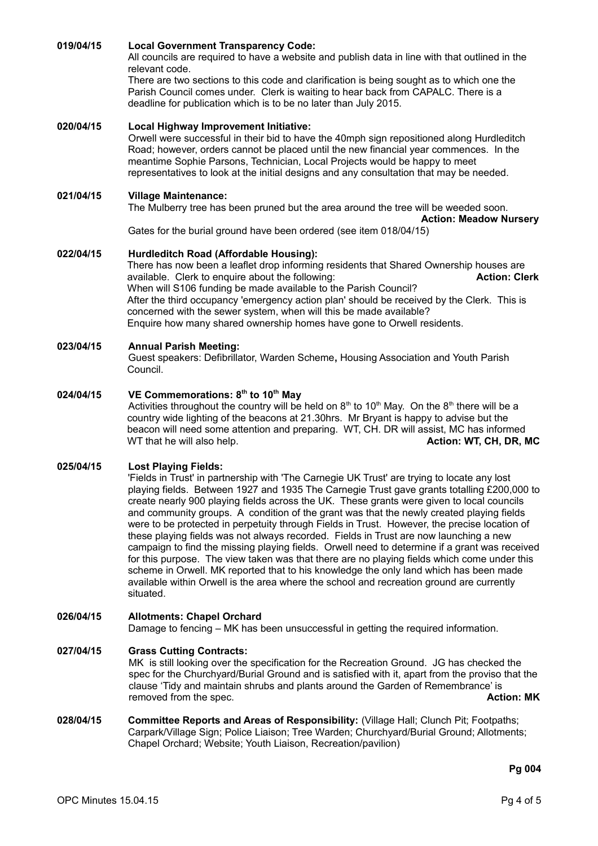### **019/04/15 Local Government Transparency Code:**

All councils are required to have a website and publish data in line with that outlined in the relevant code.

There are two sections to this code and clarification is being sought as to which one the Parish Council comes under. Clerk is waiting to hear back from CAPALC. There is a deadline for publication which is to be no later than July 2015.

#### **020/04/15 Local Highway Improvement Initiative:**

Orwell were successful in their bid to have the 40mph sign repositioned along Hurdleditch Road; however, orders cannot be placed until the new financial year commences. In the meantime Sophie Parsons, Technician, Local Projects would be happy to meet representatives to look at the initial designs and any consultation that may be needed.

#### **021/04/15 Village Maintenance:**

The Mulberry tree has been pruned but the area around the tree will be weeded soon.

**Action: Meadow Nursery**

Gates for the burial ground have been ordered (see item 018/04/15)

#### **022/04/15 Hurdleditch Road (Affordable Housing):**

There has now been a leaflet drop informing residents that Shared Ownership houses are available. Clerk to enquire about the following: **Action: Clerk** When will S106 funding be made available to the Parish Council? After the third occupancy 'emergency action plan' should be received by the Clerk. This is concerned with the sewer system, when will this be made available? Enquire how many shared ownership homes have gone to Orwell residents.

#### **023/04/15 Annual Parish Meeting:**

Guest speakers: Defibrillator, Warden Scheme**,** Housing Association and Youth Parish Council.

#### **024/04/15 VE Commemorations: 8th to 10th May**

Activities throughout the country will be held on  $8<sup>th</sup>$  to 10<sup>th</sup> May. On the  $8<sup>th</sup>$  there will be a country wide lighting of the beacons at 21.30hrs. Mr Bryant is happy to advise but the beacon will need some attention and preparing. WT, CH. DR will assist, MC has informed WT that he will also help. **Action: WT, CH, DR, MC Action: WT, CH, DR, MC** 

#### **025/04/15 Lost Playing Fields:**

'Fields in Trust' in partnership with 'The Carnegie UK Trust' are trying to locate any lost playing fields. Between 1927 and 1935 The Carnegie Trust gave grants totalling £200,000 to create nearly 900 playing fields across the UK. These grants were given to local councils and community groups. A condition of the grant was that the newly created playing fields were to be protected in perpetuity through Fields in Trust. However, the precise location of these playing fields was not always recorded. Fields in Trust are now launching a new campaign to find the missing playing fields. Orwell need to determine if a grant was received for this purpose. The view taken was that there are no playing fields which come under this scheme in Orwell. MK reported that to his knowledge the only land which has been made available within Orwell is the area where the school and recreation ground are currently situated.

#### **026/04/15 Allotments: Chapel Orchard**

Damage to fencing – MK has been unsuccessful in getting the required information.

#### **027/04/15 Grass Cutting Contracts:**

MK is still looking over the specification for the Recreation Ground. JG has checked the spec for the Churchyard/Burial Ground and is satisfied with it, apart from the proviso that the clause 'Tidy and maintain shrubs and plants around the Garden of Remembrance' is removed from the spec. **Action: MK Action: MK** 

**028/04/15 Committee Reports and Areas of Responsibility:** (Village Hall; Clunch Pit; Footpaths; Carpark/Village Sign; Police Liaison; Tree Warden; Churchyard/Burial Ground; Allotments; Chapel Orchard; Website; Youth Liaison, Recreation/pavilion)